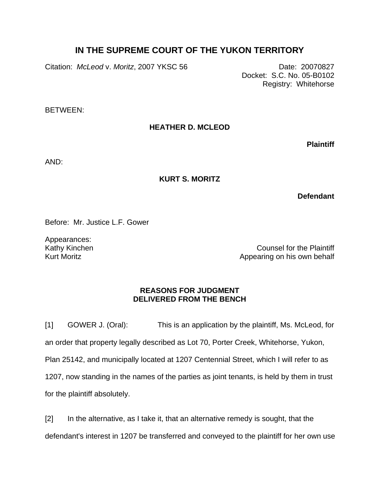## **IN THE SUPREME COURT OF THE YUKON TERRITORY**

Citation: *McLeod* v. *Moritz*, 2007 YKSC 56 Date: 20070827

Docket: S.C. No. 05-B0102 Registry: Whitehorse

BETWEEN:

## **HEATHER D. MCLEOD**

**Plaintiff**

AND:

## **KURT S. MORITZ**

**Defendant**

Before: Mr. Justice L.F. Gower

Appearances: Kathy Kinchen Kurt Moritz

Counsel for the Plaintiff Appearing on his own behalf

## **REASONS FOR JUDGMENT DELIVERED FROM THE BENCH**

[1] GOWER J. (Oral): This is an application by the plaintiff, Ms. McLeod, for an order that property legally described as Lot 70, Porter Creek, Whitehorse, Yukon, Plan 25142, and municipally located at 1207 Centennial Street, which I will refer to as 1207, now standing in the names of the parties as joint tenants, is held by them in trust for the plaintiff absolutely.

[2] In the alternative, as I take it, that an alternative remedy is sought, that the defendant's interest in 1207 be transferred and conveyed to the plaintiff for her own use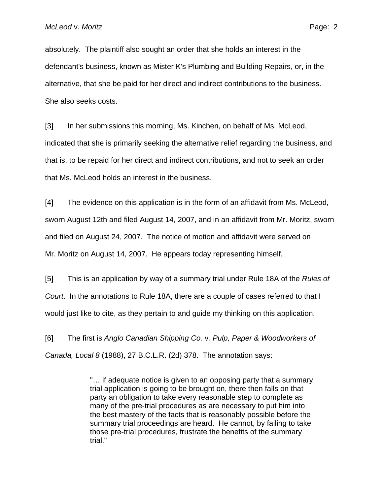absolutely. The plaintiff also sought an order that she holds an interest in the defendant's business, known as Mister K's Plumbing and Building Repairs, or, in the alternative, that she be paid for her direct and indirect contributions to the business. She also seeks costs.

[3] In her submissions this morning, Ms. Kinchen, on behalf of Ms. McLeod, indicated that she is primarily seeking the alternative relief regarding the business, and that is, to be repaid for her direct and indirect contributions, and not to seek an order that Ms. McLeod holds an interest in the business.

[4] The evidence on this application is in the form of an affidavit from Ms. McLeod, sworn August 12th and filed August 14, 2007, and in an affidavit from Mr. Moritz, sworn and filed on August 24, 2007. The notice of motion and affidavit were served on Mr. Moritz on August 14, 2007. He appears today representing himself.

[5] This is an application by way of a summary trial under Rule 18A of the *Rules of Court*. In the annotations to Rule 18A, there are a couple of cases referred to that I would just like to cite, as they pertain to and guide my thinking on this application.

[6] The first is *Anglo Canadian Shipping Co.* v*. Pulp, Paper & Woodworkers of Canada, Local 8* (1988), 27 B.C.L.R. (2d) 378. The annotation says:

> "… if adequate notice is given to an opposing party that a summary trial application is going to be brought on, there then falls on that party an obligation to take every reasonable step to complete as many of the pre-trial procedures as are necessary to put him into the best mastery of the facts that is reasonably possible before the summary trial proceedings are heard. He cannot, by failing to take those pre-trial procedures, frustrate the benefits of the summary trial."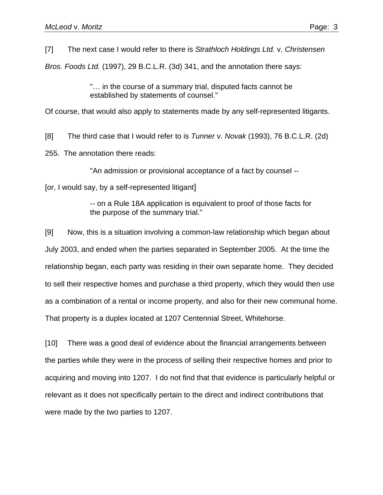[7] The next case I would refer to there is *Strathloch Holdings Ltd.* v. *Christensen*

*Bros. Foods Ltd.* (1997), 29 B.C.L.R. (3d) 341, and the annotation there says:

"… in the course of a summary trial, disputed facts cannot be established by statements of counsel."

Of course, that would also apply to statements made by any self-represented litigants.

[8] The third case that I would refer to is *Tunner* v. *Novak* (1993), 76 B.C.L.R. (2d)

255. The annotation there reads:

"An admission or provisional acceptance of a fact by counsel --

[or, I would say, by a self-represented litigant]

-- on a Rule 18A application is equivalent to proof of those facts for the purpose of the summary trial."

[9] Now, this is a situation involving a common-law relationship which began about July 2003, and ended when the parties separated in September 2005. At the time the relationship began, each party was residing in their own separate home. They decided to sell their respective homes and purchase a third property, which they would then use as a combination of a rental or income property, and also for their new communal home. That property is a duplex located at 1207 Centennial Street, Whitehorse.

[10] There was a good deal of evidence about the financial arrangements between the parties while they were in the process of selling their respective homes and prior to acquiring and moving into 1207. I do not find that that evidence is particularly helpful or relevant as it does not specifically pertain to the direct and indirect contributions that were made by the two parties to 1207.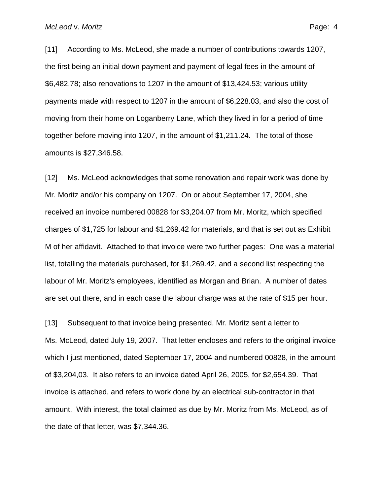[11] According to Ms. McLeod, she made a number of contributions towards 1207, the first being an initial down payment and payment of legal fees in the amount of \$6,482.78; also renovations to 1207 in the amount of \$13,424.53; various utility payments made with respect to 1207 in the amount of \$6,228.03, and also the cost of moving from their home on Loganberry Lane, which they lived in for a period of time together before moving into 1207, in the amount of \$1,211.24. The total of those amounts is \$27,346.58.

[12] Ms. McLeod acknowledges that some renovation and repair work was done by Mr. Moritz and/or his company on 1207. On or about September 17, 2004, she received an invoice numbered 00828 for \$3,204.07 from Mr. Moritz, which specified charges of \$1,725 for labour and \$1,269.42 for materials, and that is set out as Exhibit M of her affidavit. Attached to that invoice were two further pages: One was a material list, totalling the materials purchased, for \$1,269.42, and a second list respecting the labour of Mr. Moritz's employees, identified as Morgan and Brian. A number of dates are set out there, and in each case the labour charge was at the rate of \$15 per hour.

[13] Subsequent to that invoice being presented, Mr. Moritz sent a letter to Ms. McLeod, dated July 19, 2007. That letter encloses and refers to the original invoice which I just mentioned, dated September 17, 2004 and numbered 00828, in the amount of \$3,204,03. It also refers to an invoice dated April 26, 2005, for \$2,654.39. That invoice is attached, and refers to work done by an electrical sub-contractor in that amount. With interest, the total claimed as due by Mr. Moritz from Ms. McLeod, as of the date of that letter, was \$7,344.36.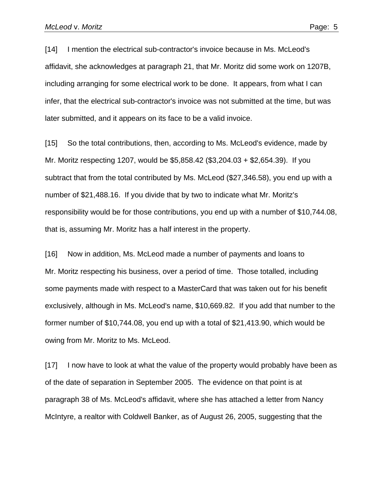[14] I mention the electrical sub-contractor's invoice because in Ms. McLeod's affidavit, she acknowledges at paragraph 21, that Mr. Moritz did some work on 1207B, including arranging for some electrical work to be done. It appears, from what I can infer, that the electrical sub-contractor's invoice was not submitted at the time, but was later submitted, and it appears on its face to be a valid invoice.

[15] So the total contributions, then, according to Ms. McLeod's evidence, made by Mr. Moritz respecting 1207, would be \$5,858.42 (\$3,204.03 + \$2,654.39). If you subtract that from the total contributed by Ms. McLeod (\$27,346.58), you end up with a number of \$21,488.16. If you divide that by two to indicate what Mr. Moritz's responsibility would be for those contributions, you end up with a number of \$10,744.08, that is, assuming Mr. Moritz has a half interest in the property.

[16] Now in addition, Ms. McLeod made a number of payments and loans to Mr. Moritz respecting his business, over a period of time. Those totalled, including some payments made with respect to a MasterCard that was taken out for his benefit exclusively, although in Ms. McLeod's name, \$10,669.82. If you add that number to the former number of \$10,744.08, you end up with a total of \$21,413.90, which would be owing from Mr. Moritz to Ms. McLeod.

[17] I now have to look at what the value of the property would probably have been as of the date of separation in September 2005. The evidence on that point is at paragraph 38 of Ms. McLeod's affidavit, where she has attached a letter from Nancy McIntyre, a realtor with Coldwell Banker, as of August 26, 2005, suggesting that the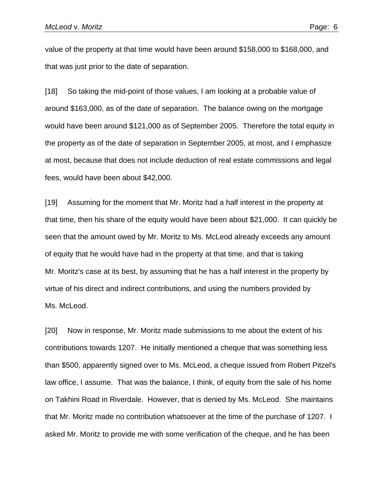value of the property at that time would have been around \$158,000 to \$168,000, and that was just prior to the date of separation.

[18] So taking the mid-point of those values, I am looking at a probable value of around \$163,000, as of the date of separation. The balance owing on the mortgage would have been around \$121,000 as of September 2005. Therefore the total equity in the property as of the date of separation in September 2005, at most, and I emphasize at most, because that does not include deduction of real estate commissions and legal fees, would have been about \$42,000.

[19] Assuming for the moment that Mr. Moritz had a half interest in the property at that time, then his share of the equity would have been about \$21,000. It can quickly be seen that the amount owed by Mr. Moritz to Ms. McLeod already exceeds any amount of equity that he would have had in the property at that time, and that is taking Mr. Moritz's case at its best, by assuming that he has a half interest in the property by virtue of his direct and indirect contributions, and using the numbers provided by Ms. McLeod.

[20] Now in response, Mr. Moritz made submissions to me about the extent of his contributions towards 1207. He initially mentioned a cheque that was something less than \$500, apparently signed over to Ms. McLeod, a cheque issued from Robert Pitzel's law office, I assume. That was the balance, I think, of equity from the sale of his home on Takhini Road in Riverdale. However, that is denied by Ms. McLeod. She maintains that Mr. Moritz made no contribution whatsoever at the time of the purchase of 1207. I asked Mr. Moritz to provide me with some verification of the cheque, and he has been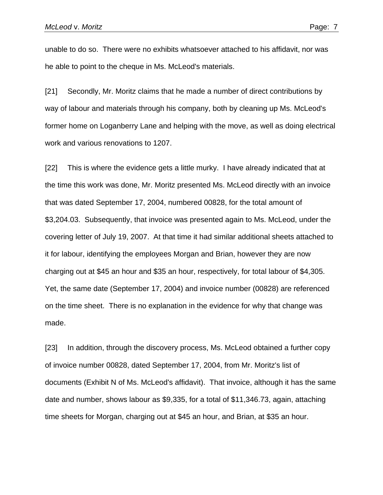unable to do so. There were no exhibits whatsoever attached to his affidavit, nor was he able to point to the cheque in Ms. McLeod's materials.

[21] Secondly, Mr. Moritz claims that he made a number of direct contributions by way of labour and materials through his company, both by cleaning up Ms. McLeod's former home on Loganberry Lane and helping with the move, as well as doing electrical work and various renovations to 1207.

[22] This is where the evidence gets a little murky. I have already indicated that at the time this work was done, Mr. Moritz presented Ms. McLeod directly with an invoice that was dated September 17, 2004, numbered 00828, for the total amount of \$3,204.03. Subsequently, that invoice was presented again to Ms. McLeod, under the covering letter of July 19, 2007. At that time it had similar additional sheets attached to it for labour, identifying the employees Morgan and Brian, however they are now charging out at \$45 an hour and \$35 an hour, respectively, for total labour of \$4,305. Yet, the same date (September 17, 2004) and invoice number (00828) are referenced on the time sheet. There is no explanation in the evidence for why that change was made.

[23] In addition, through the discovery process, Ms. McLeod obtained a further copy of invoice number 00828, dated September 17, 2004, from Mr. Moritz's list of documents (Exhibit N of Ms. McLeod's affidavit). That invoice, although it has the same date and number, shows labour as \$9,335, for a total of \$11,346.73, again, attaching time sheets for Morgan, charging out at \$45 an hour, and Brian, at \$35 an hour.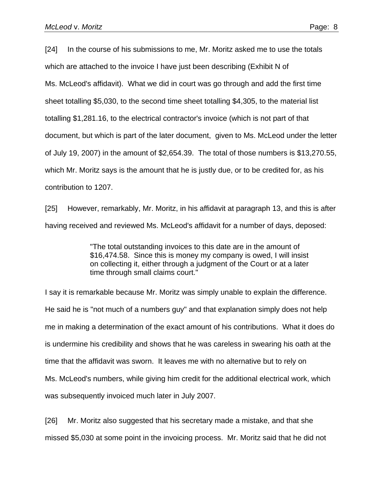[24] In the course of his submissions to me, Mr. Moritz asked me to use the totals which are attached to the invoice I have just been describing (Exhibit N of Ms. McLeod's affidavit). What we did in court was go through and add the first time sheet totalling \$5,030, to the second time sheet totalling \$4,305, to the material list totalling \$1,281.16, to the electrical contractor's invoice (which is not part of that document, but which is part of the later document, given to Ms. McLeod under the letter of July 19, 2007) in the amount of \$2,654.39. The total of those numbers is \$13,270.55, which Mr. Moritz says is the amount that he is justly due, or to be credited for, as his contribution to 1207.

[25] However, remarkably, Mr. Moritz, in his affidavit at paragraph 13, and this is after having received and reviewed Ms. McLeod's affidavit for a number of days, deposed:

> "The total outstanding invoices to this date are in the amount of \$16,474.58. Since this is money my company is owed, I will insist on collecting it, either through a judgment of the Court or at a later time through small claims court."

I say it is remarkable because Mr. Moritz was simply unable to explain the difference. He said he is "not much of a numbers guy" and that explanation simply does not help me in making a determination of the exact amount of his contributions. What it does do is undermine his credibility and shows that he was careless in swearing his oath at the time that the affidavit was sworn. It leaves me with no alternative but to rely on Ms. McLeod's numbers, while giving him credit for the additional electrical work, which was subsequently invoiced much later in July 2007.

[26] Mr. Moritz also suggested that his secretary made a mistake, and that she missed \$5,030 at some point in the invoicing process. Mr. Moritz said that he did not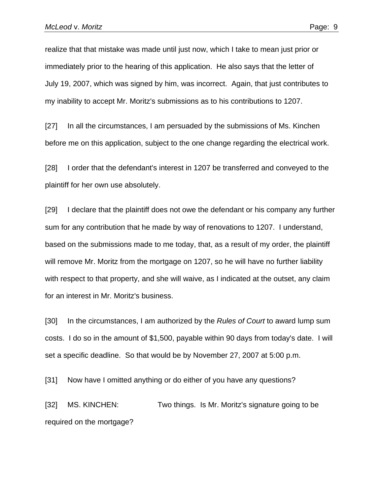realize that that mistake was made until just now, which I take to mean just prior or immediately prior to the hearing of this application. He also says that the letter of July 19, 2007, which was signed by him, was incorrect. Again, that just contributes to my inability to accept Mr. Moritz's submissions as to his contributions to 1207.

[27] In all the circumstances, I am persuaded by the submissions of Ms. Kinchen before me on this application, subject to the one change regarding the electrical work.

[28] I order that the defendant's interest in 1207 be transferred and conveyed to the plaintiff for her own use absolutely.

[29] I declare that the plaintiff does not owe the defendant or his company any further sum for any contribution that he made by way of renovations to 1207. I understand, based on the submissions made to me today, that, as a result of my order, the plaintiff will remove Mr. Moritz from the mortgage on 1207, so he will have no further liability with respect to that property, and she will waive, as I indicated at the outset, any claim for an interest in Mr. Moritz's business.

[30] In the circumstances, I am authorized by the *Rules of Court* to award lump sum costs. I do so in the amount of \$1,500, payable within 90 days from today's date. I will set a specific deadline. So that would be by November 27, 2007 at 5:00 p.m.

[31] Now have I omitted anything or do either of you have any questions?

[32] MS. KINCHEN: Two things. Is Mr. Moritz's signature going to be required on the mortgage?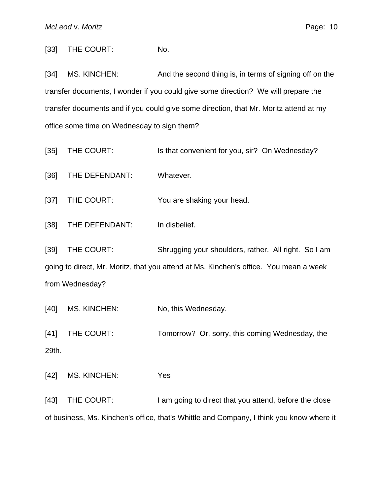[33] THE COURT: No.

[34] MS. KINCHEN: And the second thing is, in terms of signing off on the transfer documents, I wonder if you could give some direction? We will prepare the transfer documents and if you could give some direction, that Mr. Moritz attend at my office some time on Wednesday to sign them?

- [35] THE COURT: Is that convenient for you, sir? On Wednesday?
- [36] THE DEFENDANT: Whatever.

[37] THE COURT: You are shaking your head.

[38] THE DEFENDANT: In disbelief.

[39] THE COURT: Shrugging your shoulders, rather. All right. So I am going to direct, Mr. Moritz, that you attend at Ms. Kinchen's office. You mean a week from Wednesday?

[40] MS. KINCHEN: No, this Wednesday.

[41] THE COURT: Tomorrow? Or, sorry, this coming Wednesday, the 29th.

[42] MS. KINCHEN: Yes

[43] THE COURT: I am going to direct that you attend, before the close of business, Ms. Kinchen's office, that's Whittle and Company, I think you know where it